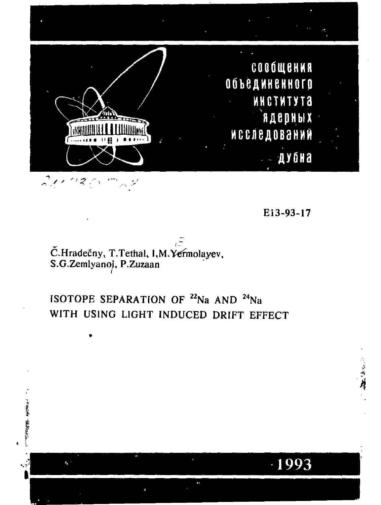

EI3-93-17

1993

**'4** 

# Č.Hradečny, T.Tethal, I,M.Yermolayev, S.G.Zemlyanoj, P.Zuzaan

计全部带 "根本好人"

 $\mathbf{q}^{-1}$ 

ISOTOPE SEPARATION OF  $^{22}$ Na AND  $^{24}$ Na WITH USING LIGHT INDUCED DRIFT EFFECT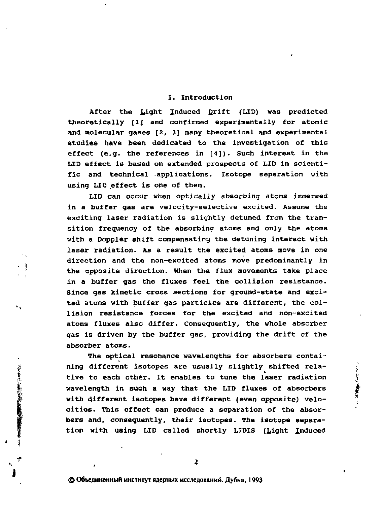#### **I. Introduction**

**After the Light induced Erift (LID) was predicted theoretically [1] and confirmed experimentally for atomic and molecular gases [2, 3] many theoretical and experimental studies have been dedicated to the investigation of this effect (e.g. the references in [4]). Such interest in the LID effect is based on extended prospects of LID in scientific and technical applications. Isotope separation with**  using LID effect is one of them.

**LID can occur when optically absorbing atoms immersed in a buffer gas are velocity-selective excited. Assume the exciting laser radiation is slightly detuned from the transition frequency of the absorbing atoms and only the atoms with a Doppler shift compensating the detuning interact with laser radiation. As a result the excited atoms move in one direction and the non-excited atoms move predominantly in the opposite direction. When the flux movements take place in a buffer gas the fluxes feel the collision resistance. Since gas kinetic cross sections for ground-state and excited atoms with buffer gas particles are different, the collision resistance forces for the excited and non-excited atoms fluxes also differ. Consequently, the whole absorber gas is driven by the buffer gas, providing the drift of the absorber atoms.** 

公主

「このように、生きないのかのお客様のお願いをする」 キー

**The optical resonance wavelengths for absorbers containing different isotopes are usually slightly shifted relative to each other. It enables to tune the laser radiation wavelength in such a way that the LID fluxes of absorbers with different isotopes have different (even opposite) velocities. This effect can produce a separation of the absorbers and, consequently, their isotopes. The isotope separation with using LID called shortly LID1S (Light Induced** 

**Company of the Company**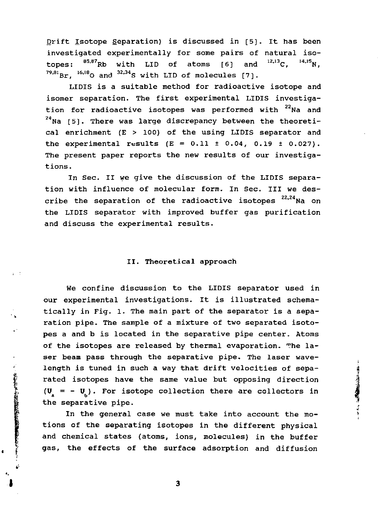Drift Isotope Separation) is discussed in [5]. It has been investigated experimentally for some pairs of natural isotopes:  $85,87$ Rb with LID of atoms  $[6]$  and  $^{12,13}$ C,  $^{14,15}$ N,  $79,81$  Br,  $16,18$ O and  $32,34$ S with LID of molecules [7].

LIDIS is a suitable method for radioactive isotope and isomer separation. The first experimental LIDIS investigation for radioactive isotopes was performed with <sup>22</sup>Na and <sup>24</sup>Na [5]. There was large discrepancy between the theoretical enrichment (E > 100) of the using LIDIS separator and the experimental results  $(E = 0.11 \pm 0.04, 0.19 \pm 0.027)$ . The present paper reports the new results of our investigations.

In Sec. II we give the discussion of the LIDIS separation with influence of molecular form. In Sec. Ill we describe the separation of the radioactive isotopes  $22,24$  Na on the LIDIS separator with improved buffer gas purification and discuss the experimental results.

### II. Theoretical approach

We confine discussion to the LIDIS separator used in our experimental investigations. It is illustrated schematically in Fig. 1. The main part of the separator is a separation pipe. The sample of a mixture of two separated isotopes a and b is located in the separative pipe center. Atoms of the isotopes are released by thermal evaporation. The laser beam pass through the separative pipe. The laser wavelength is tuned in such a way that drift velocities of separated isotopes have the same value but opposing direction  $(U = - U_i)$ . For isotope collection there are collectors in the separative pipe.

In the general case we must take into account the motions of the separating isotopes in the different physical and chemical states (atoms, ions, molecules) in the buffer gas, the effects of the surface adsorption and diffusion

· 化解析系统的试验检检检检检检检检检验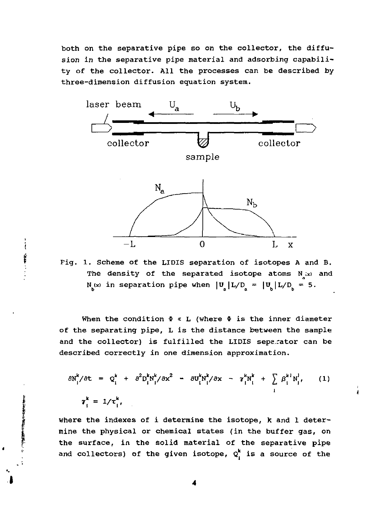both on the separative pipe so on the collector, the diffusion in the separative pipe material and adsorbing capability of the collector. All the processes can be described by three-dimension diffusion equation system.



Pig. 1. Scheme of the LIDIS separation of isotopes A and B. The density of the separated isotope atoms N<sub>.(x)</sub> and  $N_h(x)$  in separation pipe when  $|U_A |L/D_a = |U_h| L/D_h = 5$ .

When the condition  $\Phi \ll L$  (where  $\Phi$  is the inner diameter of the separating pipe, L is the distance between the sample and the collector) is fulfilled the LIDIS separator can be described correctly in one dimension approximation.

$$
\frac{\partial N_{i}^{k}}{\partial t} = Q_{i}^{k} + \frac{\partial^{2} D_{i}^{k} N_{i}^{k}}{\partial x^{2}} - \frac{\partial U_{i}^{k} N_{i}^{k}}{\partial x} - \gamma_{i}^{k} N_{i}^{k} + \sum_{i} \beta_{i}^{k} N_{i}^{i}, \qquad (1)
$$

where the indexes of i determine the isotope, к and 1 determine the physical or chemical states (in the buffer gas, on the surface, in the solid material of the separative pipe and collectors) of the given isotope,  $Q_i^k$  is a source of the

Í

ì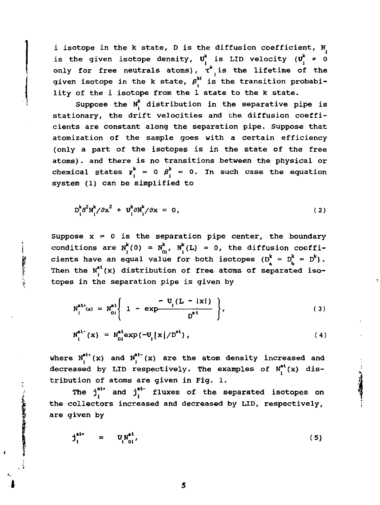i isotope in the k state, D is the diffusion coefficient,  $N_i$ is the given isotope density,  $U_i^k$  is LID velocity  $(U_i^k \neq 0)$ only for free neutrals atoms),  $\tau^k$  is the lifetime of the given isotope in the k state,  $\beta_i^{kl}$  is the transition probability of the i isotope from the 1 state to the к state.

Suppose the  $N_f^k$  distribution in the separative pipe is stationary, the drift velocities and the diffusion coefficients are constant along the separation pipe. Suppose that atomization of the sample goes with a certain efficiency (only a part of the isotopes is in the state of the free atoms). and there is no transitions between the physical or chemical states  $\gamma_i^k = 0$   $\beta_i^k = 0$ . In such case the equation system (1) can be simplified to

$$
D_i^k \partial^2 N_i^k / \partial x^2 + U_i^k \partial N_i^k / \partial x = 0,
$$
 (2)

Suppose  $x = 0$  is the separation pipe center, the boundary conditions are  $N_f^k(0) = N_{0i}^k$ ,  $N_f^k(L) = 0$ , the diffusion coefficients have an equal value for both isotopes  $(D^k = D^k = D^k)$ . Then the  $N^{at}_i(x)$  distribution of free atoms of separated isotopes in the separation pipe is given by

$$
N_1^{att}(x) = N_{01}^{at} \left\{ 1 - exp \frac{-U_1(L - |x|)}{D^{at}} \right\},
$$
 (3)

$$
N_i^{at-}(x) = N_{0i}^{at} \exp(-U_i |x|/D^{at}), \qquad (4)
$$

where  $N_f^{at*}(x)$  and  $N_f^{at*}(x)$  are the atom density increased and decreased by LID respectively. The examples of  $N_t^{at}(x)$  distribution of atoms are given in Fig. 1.

The  $j_i^{at}$  and  $j_i^{at}$  fluxes of the separated isotopes on the collectors increased and decreased by LID, respectively, are given by

5

$$
j_i^{at*} = U_i^{at*}_{0i'}, \qquad (5)
$$

The company of the company of the company of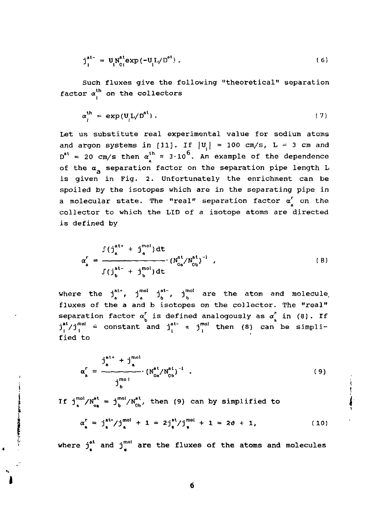$$
j_1^{at-} = U_l N_{0i}^{at} \exp(-U_l L/D^{at}) . \qquad (6)
$$

Such fluxes give the following "theoretical" separation factor  $\alpha_i^{\text{th}}$  on the collectors

$$
\alpha_i^{\text{th}} = \exp(\mathbf{U}_i \mathbf{L}/\mathbf{D}^{\text{at}}) \tag{7}
$$

Let us substitute real experimental value for sodium atoms and argon systems in [11]. If  $|U_{i}| = 100$  cm/s, L = 3 cm and  $D^{at}$  = 20 cm/s then  $\alpha_{1}^{in}$  = 3.10<sup>o</sup>. An example of the dependence of the  $\alpha_{n}$  separation factor on the separation pipe length L is given in Fig. 2. Unfortunately the enrichment can be spoiled by the isotopes which are in the separating pipe in a molecular state. The "real" separation factor  $\alpha_1^r$  on the collector to which the LID of a isotope atoms are directed is defined by

$$
\alpha_{a}^{r} = \frac{\int (\int_{a}^{at^{+}} + j_{a}^{mol}) dt}{\int (\int_{b}^{at^{+}} + j_{b}^{mol}) dt} \qquad (N_{0a}^{at} / N_{0b}^{at})^{-1} \qquad (B)
$$

where the  $j^{at}_{i}$ ,  $j^{mot}_{i}$ ,  $j^{not}_{i}$  are the atom and molecule fluxes of the a and b isotopes on the collector. The "real" separation factor  $\alpha_{\rm k}^{\rm f}$  is defined analogously as  $\alpha_{\rm k}^{\rm f}$  in (8). If separation factor ar is defined analogously as *of* in (8). If  $j_1$ '/j|  $\cdots$  constant and  $j_1$  (1)  $\cdots$  )| can be simplified (1) fied to

$$
\alpha_{\mathbf{a}}^{r} = \frac{\mathbf{j}_{\mathbf{a}}^{\mathbf{a}^{t}} + \mathbf{j}_{\mathbf{a}}^{\text{mol}}}{\mathbf{j}_{\mathbf{b}}^{\text{mol}}} \cdot (N_{0\mathbf{a}}^{\mathbf{a}^{t}} / N_{0\mathbf{b}}^{\mathbf{a}^{t}})^{-1} \quad . \tag{9}
$$

If  $j_{a}^{mol}/N_{ca}^{at} = j_{b}^{mol}/N_{cb}^{at}$ , then (9) can by simplified to <sup>J</sup> a oa -'bO b

$$
\alpha_{\mathbf{a}}^{\mathbf{r}} = \mathbf{j}_{\mathbf{a}}^{\mathbf{a}\mathbf{t} *}/\mathbf{j}_{\mathbf{a}}^{\text{mol}} + 1 = 2\mathbf{j}_{\mathbf{a}}^{\mathbf{a}\mathbf{t}}/\mathbf{j}_{\mathbf{a}}^{\text{mol}} + 1 = 2\vartheta + 1, \qquad (10)
$$

where  $j_{\epsilon}^{at}$  and  $j_{\epsilon}^{mol}$  are the fluxes of the atoms and molecules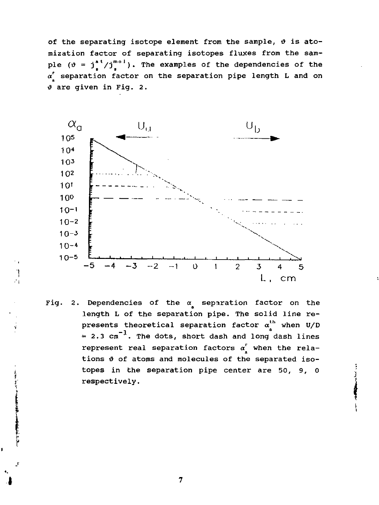of the separating isotope element from the sample,  $\vartheta$  is atomization factor of separating isotopes fluxes from the sample  $(\vartheta = \dot{J}^*_{\bullet}/\dot{J}^{m\circ\prime}_{\bullet})$ . The examples of the dependencies of the *a r* separation factor on the separation pipe length L and on  $\vartheta$  are given in Fig. 2.



f, ż,

> Fig. 2. Dependencies of the *a* separation factor on the length L of the separation pipe. The solid line represents theoretical separation factor  $\alpha_A^{\text{th}}$  when U/D  $= 2.3$   $\text{cm}^{-1}$ . The dots, short dash and long dash lines represent real separation factors  $\alpha_k^r$  when the relations  $\vartheta$  of atoms and molecules of the separated isotopes in the separation pipe center are 50, 9, 0 respectively.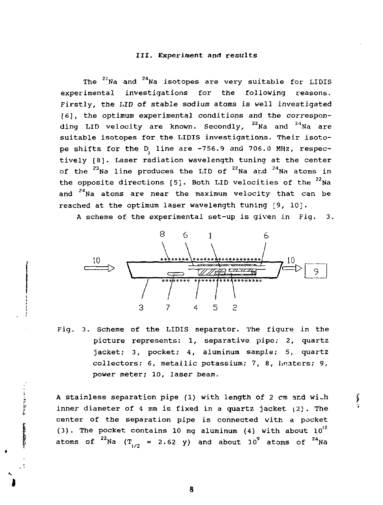#### III. Experiment and results

The  $^{22}$ Na and  $^{24}$ Na isotopes are very suitable for LIDIS experimental investigations for the following reasons. Firstly, the LID of stable sodium atoms is well investigated [6], the optimum experimental conditions and the corresponding LID velocity are known. Secondly,  $22$  Na and  $24$  Na are suitable isotopes for the LIDIS investigations. Their isotope shifts for the D line are -756.9 and 706.0 MHz, respectively [8]. Laser radiation wavelength tuning at the center of the <sup>23</sup>Na line produces the LID of <sup>22</sup>Na and <sup>24</sup>Na atoms i the opposite directions [5]. Both LID velocities of the <sup>22</sup>Na and <sup>24</sup>Na atoms are near the maximum velocity that can be reached at the optimum laser wavelength tuning [9, 10].

A scheme of the experimental set-up is given in Fig. 3.



Fig. 3. Scheme of the LIDIS separator. The figure in the picture represents: 1, separative pipe; 2, quartz jacket; 3, pocket; 4, aluminum sample; 5, quartz collectors; 6, metallic potassium; 7, 8, heaters; 9, power meter; 10, laser beam.

A stainless separation pipe (1) with length of 2 cm and with inner diameter of 4 mm is fixed in a quartz jacket (2). The center of the separation pipe is connected with a pocket (3). The pocket contains 10 mg aluminum (4) with about  $10^{12}$ atoms of  $4$ Na (T<sub>1,0</sub> = 2.62 y) and about 10<sup>9</sup> atoms of  $^{24}$ Na

í

**The Secretary Avenue** 

**THE REAL PROPERTY**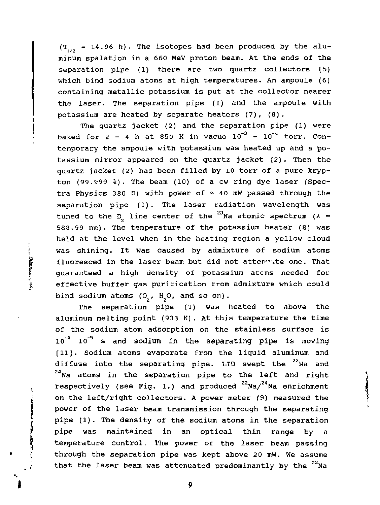$(T_{1/2} = 14.96 \text{ h})$ . The isotopes had been produced by the aluminum spalation in a 660 MeV proton beam. At the ends of the separation pipe (1) there are two quartz collectors (5) which bind sodium atoms at high temperatures. An ampoule (6) containing metallic potassium is put at the collector nearer the laser. The separation pipe (1) and the ampoule with potassium are heated by separate heaters (7), (8).

The quartz jacket (2) and the separation pipe (1) were baked for 2 - 4 h at 850 K in vacuo  $10^{-3}$  -  $10^{-4}$  torr. Contemporary the ampoule with potassium was heated up and a potassium mirror appeared on the quartz jacket (2). Then the quartz jacket (2) has been filled by 10 torr of a pure krypton (99.999 *i).* The beam (10) of a cw ring dye laser (Spectra Physics 380 D) with power of  $\approx$  40 mW passed through the separation pipe (1). The laser radiation wavelength was tuned to the  $D_p$  line center of the <sup>23</sup>Na atomic spectrum ( $\lambda =$ 588.99 nm). The temperature of the potassium heater (8) was held at the level when in the heating region a yellow cloud was shining. It was caused by admixture of sodium atoms fluoresced in the laser beam but did not attenwite one. That guaranteed a high density of potassium atcms needed for effective buffer gas purification from admixture which could bind sodium atoms  $(O_1, H_2O,$  and so on).

**CERTIFY OF SAMPLE** 

The separation pipe (1) was heated to above the aluminum melting point (933 K). At this temperature the time of the sodium atom adsorption on the stainless surface is  $10^{-4}$   $10^{-5}$  s and sodium in the separating pipe is moving [11]. Sodium atoms evaporate from the liquid aluminum and diffuse into the separating pipe. LID swept the  $22$ Na and *г,Иа* atoms in the separation pipe to the left and right respectively (see Fig. 1.) and produced  $22$ Na/ $24$ Na enrichment on the left/right collectors. A power meter (9) measured the power of the laser beam transmission through the separating pipe (1). The density of the sodium atoms in the separation pipe was maintained in an optical thin range by a temperature control. The power of the laser beam passing through the separation pipe was kept above 20 mW. We assume  $t_{\rm{max}}$  the separation pipe was kept above 20 mW. We assume  $t_1$  at the laser beam was attenuated predominantly by the  $t_1$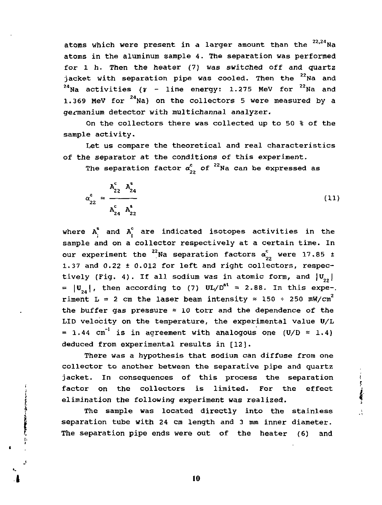atoms which were present in a larger amount than the <sup>22,24</sup>Na atoms in the aluminum sample 4. The separation was performed for l h. Then the heater (7) was switched off and quartz jacket with separation pipe was cooled. Then the "Na and <sup>24</sup>Na activities ( $\gamma$  - line energy: 1.275 MeV for <sup>22</sup>Na and 1.369 MeV for <sup>24</sup>Na) on the collectors 5 were measured by a germanium detector with multichannal analyzer.

On the collectors there was collected up to 50 % of the sample activity.

Let us compare the theoretical and real characteristics of the separator at the conditions of this experiment.

The separation factor  $\alpha_2^c$  of  $\alpha_2^c$  of  $\alpha_3^c$ 

$$
\alpha_{22}^c = \frac{A_{22}^c A_{24}^s}{A_{24}^c A_{22}^s}
$$
 (11)

where  $A_i^s$  and  $A_i^c$  are indicated isotopes activities in the sample and on a collector respectively at a certain time. In our experiment the <sup>22</sup>Na separation factors  $\alpha_{22}^{\rm c}$  were 17.85 ± 1.37 and 0.22 ± 0.012 for left and right collectors, respectively (Fig. 4). If all sodium was in atomic form, and  $|U_{n}|$ =  $|U_{\gamma_1}|$ , then according to (7)  $UL/D^{at}$  = 2.88. In this expe-. riment L = 2 cm the laser beam intensity  $\approx$  150  $\div$  250 mW/cm<sup>2</sup> the buffer gas pressure  $\approx$  10 torr and the dependence of the LID velocity on the temperature, the experimental value 0/L = 1.44 cm<sup>-1</sup> is in agreement with analogous one (U/D  $\approx$  1.4) deduced from experimental results in [12].

There was a hypothesis that sodium can diffuse from one collector to another between the separative pipe and quartz jacket. In consequences of this process the separation factor on the collectors is limited. For the effect elimination the following experiment was realized.

The sample was located directly into the stainless separation tube with 24 cm length and 3 mm inner diameter. The separation pipe ends were out of the heater (6) and

**The College Street of Section**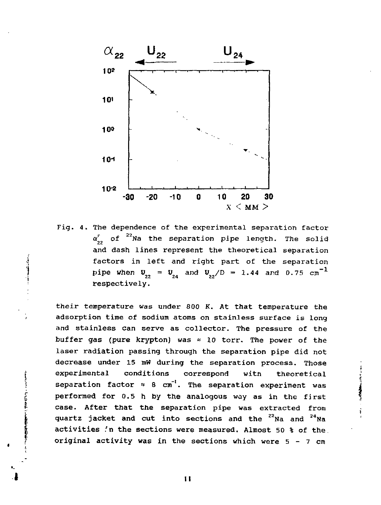

Fig. 4. The dependence of the experimental separation factor a, of "Na the separation pipe length. The solid and dash lines represent the theoretical separation factors in left and right part of the separation pipe when  $U_{22} = U_{24}$  and  $U_{22}/D = 1.44$  and 0.75  $cm^{-1}$ respectively.

their temperature was under 800 K. At that temperature the adsorption time of sodium atoms on stainless surface is long and stainless can serve as collector. The pressure of the buffer gas (pure krypton) was  $\approx$  10 torr. The power of the laser radiation passing through the separation pipe did not decrease under 15 mW during the separation process. Those experimental conditions correspond witn theoretical separation factor  $\approx$  8 cm<sup>-1</sup>. The separation experiment was performed for 0.5 h by the analogous way as in the first case. After that the separation pipe was extracted from quartz jacket and cut into sections and the <sup>22</sup>Na and <sup>24</sup>Na activities 'n the sections were measured. Almost 50 % of the original activity was in the sections which were  $5 - 7$  cm

**The Second Contract Contract Contract Contract Contract Contract Contract Contract Contract Contract Contract Contract Contract Contract Contract Contract Contract Contract Contract Contract Contract Contract Contract Con** 

II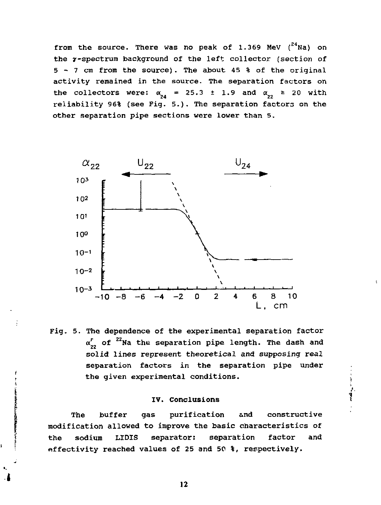from the source. There was no peak of 1.369 MeV  $(2^4$ Na) on the y-spectrum background of the left collector (section of 5 - 7 cm from the source) . The about 45 % of the original activity remained in the source. The separation factors on the collectors were:  $\alpha_{24} = 25.3 \pm 1.9$  and  $\alpha_{22} \ge 20$  with reliability 96% (see Fig. 5.). The separation factors on the other separation pipe sections were lower than 5.



Fig. 5. The dependence of the experimental separation factor  $\alpha_{22}^r$  of <sup>22</sup>Na the separation pipe length. The dash and solid lines represent theoretical and supposing real separation factors in the separation pipe under the given experimental conditions.

#### IV. Conclusions

i<br>i

The buffer gas purification and constructive modification allowed to improve the basic characteristics of the sodium LIDIS separator: separation factor and effectivity reached values of 25 and 50 %, respectively.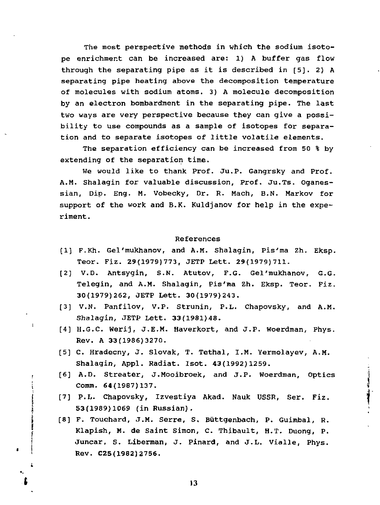The most perspective methods in which the sodium isotope enrichment can be increased are: 1) A buffer gas flow through the separating pipe as it is described in [5]. 2) A separating pipe heating above the decomposition temperature of molecules with sodium atoms. 3) A molecule decomposition by an electron bombardment in the separating pipe. The last two ways are very perspective because they can give a possibility to use compounds as a sample of isotopes for separation and to separate isotopes of little volatile elements.

The separation efficiency can be increased from 50 % by extending of the separation time.

We would like to thank Prof. Ju.P. Gangrsky and Prof. A.M. Shalagin for valuable discussion, Prof. Ju.Ts. Oganessian, Dip. Eng. M. Vobecky, Dr. R. Mach, B.N. Markov for support of the work and B.K. Kuldjanov for help in the experiment.

#### References

- [1] F.Kh. Gel'mukhanov, and A.M. Shalagin, Pis'ma Zh. Eksp. Teor. Piz. 29(1979)773, JETP Lett. 29(1979)711.
- [2] V.D. Antsygin, S.N. Atutov, F.G. Gel'mukhanov, G.G. Telegin, and A.M. Shalagin, Pis'ma Zh. Eksp. Teor. Fiz. 30(1979)262, JETP Lett. 30(1979)243.
- [3] V.N. Panfilov, V.P. Strunin, P.L. Chapovsky, and A.M. Shalagin, JETP Lett. 33(1981)48.
- [4] H.G.C. Werij, J.E.M. Haverkort, and J.P. Woerdman, Phys. Rev. A 33(1986)3270.
- [5] C. Hradecny, J. Slovak, T. Tethal, I.M. Yermolayev, A.M. Shalagin, Appl. Radiat. Isot. 43(1992)1259.
- [6] A.D. Streater, J.Mooibroek, and J.P. Woerdman, Optics Comm. 64(1987)137.

الشرهقية

- [7] P.L. Chapovsky, Izvestiya Akad. Nauk USSR, Ser. Fiz. 53(1989)1069 (in Russian).
- [8] F. Touchard, J.M. Serre, S. Buttgenbach, p. Guimbal, R. Klapish, M. de Saint Simon, c. Thibault, H.T. Duong, P. Juncar, S. Liberman, J. Pinard, and J.L. Vialle, Phys. Rev. C25(19B2)2756.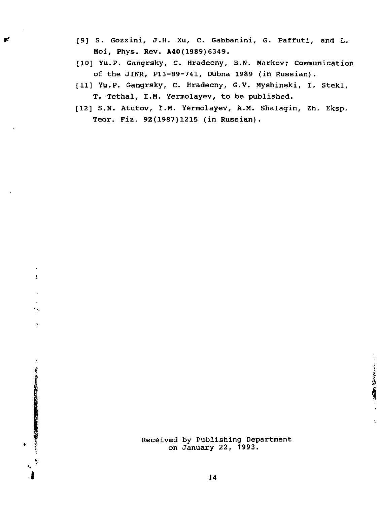- [9] S. Gozzini, J.H. Xu, C. Gabbanini, G. Paffuti, and L. Moi, Phys. Rev. **A40**(1989)6349.
- [10] Yu.P. Gangrsky, C. Hradecny, B.N. Markov; Communication of the JINR, P13-89-741, Dubna 1989 (in Russian).
- [11] Yu.P. Gangrsky, C. Hradecny, G.V. Myshinski, I. Stekl, T. Tethal, I.M. Yermolayev, to be published.
- [12] S.N. Atutov, I.M. Yermolayev, A.M. Shalagin, Zh. Eksp. Teor. Fiz. 92(1987)1215 (in Russian).

ŧ

 $\bar{y}$ 

· 经按时间的利用的 (2000) (2000) (2000) (2000) (2000) (2000) (2000) (2000) (2000) (2000) (2000) (2000) (200

Received by Publishing Department on January 22, 1993.

**CONTRACTOR**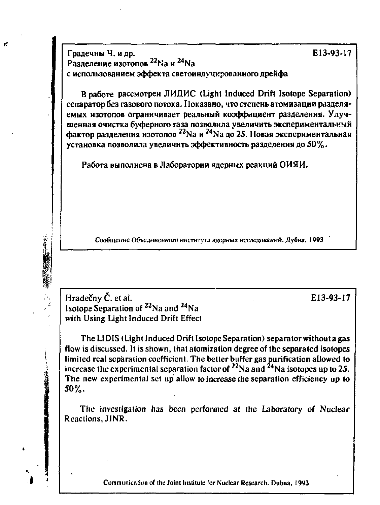Градечны Ч. и др. **Е13-93-17** <code>Paзделение</code> изотопов <code>24</sup>Na</code> и <code>24</sup>Na</code> с использованием эффекта светоиндуцированного дрейфа

**В работе рассмотрен ЛИДИС (Light Induced Drift Isotope Separation)** сепаратор без газового потока. Показано, что степень атомизации разделяемых изотопов ограничивает реальный коэффициент разделения. Улучшенная очистка буферного газа позволила увеличить экспериментальный фактор разделения изотопов<sup>22</sup>Na и <sup>24</sup>Na до 25. Новая экспериментальная установка позволила увеличить эффективность разделения до 50%.

Работа выполнена в Лаборатории ядерных реакций ОИЯИ.

Сообщение Объединенного института ядерных исследований. Дубна, 1993

**Hradecny С. et al. E13-93-17 Isotope Separation of <sup>22</sup>Na and <sup>24</sup>Na with Using Light Induced Drift Effect** 

**Contract of the Second Second Second Second Second Second Second Second Second Second** 

**The LIDIS (Light Induced Drift Isotope Separation) separator without a gas flow is discussed. It is shown, (hat atomizalion degree of the separated isotopes limited real separation coefficient. The better buffer gas purification allowed to**  increase the experimental separation factor of <sup>22</sup>Na and <sup>24</sup>Na isotopes up to 25. **The new experimental set up allow to increase the separation efficiency up to 50%.** 

**The investigation has been performed at the Laboratory of Nuclear Reactions, JINR.** 

**Communication of the Joint Institute for Nuclear Research. Dubna, 1993**